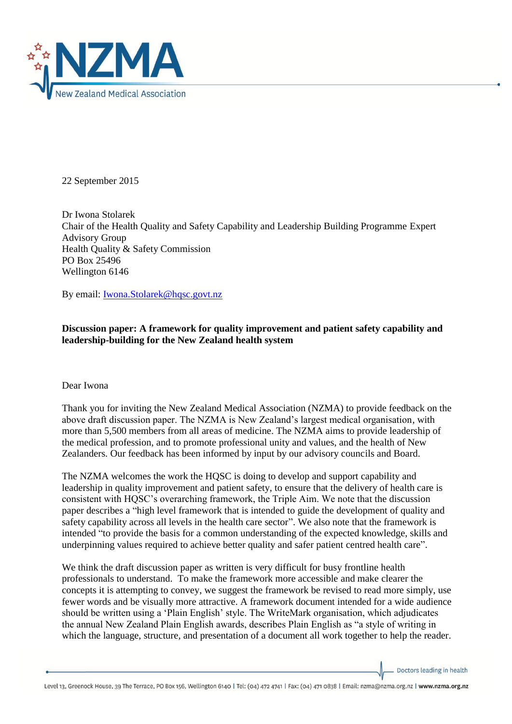

22 September 2015

Dr Iwona Stolarek Chair of the Health Quality and Safety Capability and Leadership Building Programme Expert Advisory Group Health Quality & Safety Commission PO Box 25496 Wellington 6146

By email: [Iwona.Stolarek@hqsc.govt.nz](mailto:Iwona.Stolarek@hqsc.govt.nz)

## **Discussion paper: A framework for quality improvement and patient safety capability and leadership-building for the New Zealand health system**

## Dear Iwona

Thank you for inviting the New Zealand Medical Association (NZMA) to provide feedback on the above draft discussion paper. The NZMA is New Zealand's largest medical organisation, with more than 5,500 members from all areas of medicine. The NZMA aims to provide leadership of the medical profession, and to promote professional unity and values, and the health of New Zealanders. Our feedback has been informed by input by our advisory councils and Board.

The NZMA welcomes the work the HQSC is doing to develop and support capability and leadership in quality improvement and patient safety, to ensure that the delivery of health care is consistent with HQSC's overarching framework, the Triple Aim. We note that the discussion paper describes a "high level framework that is intended to guide the development of quality and safety capability across all levels in the health care sector". We also note that the framework is intended "to provide the basis for a common understanding of the expected knowledge, skills and underpinning values required to achieve better quality and safer patient centred health care".

We think the draft discussion paper as written is very difficult for busy frontline health professionals to understand. To make the framework more accessible and make clearer the concepts it is attempting to convey, we suggest the framework be revised to read more simply, use fewer words and be visually more attractive. A framework document intended for a wide audience should be written using a 'Plain English' style. The WriteMark organisation, which adjudicates the annual New Zealand Plain English awards, describes Plain English as "a style of writing in which the language, structure, and presentation of a document all work together to help the reader.

Doctors leading in health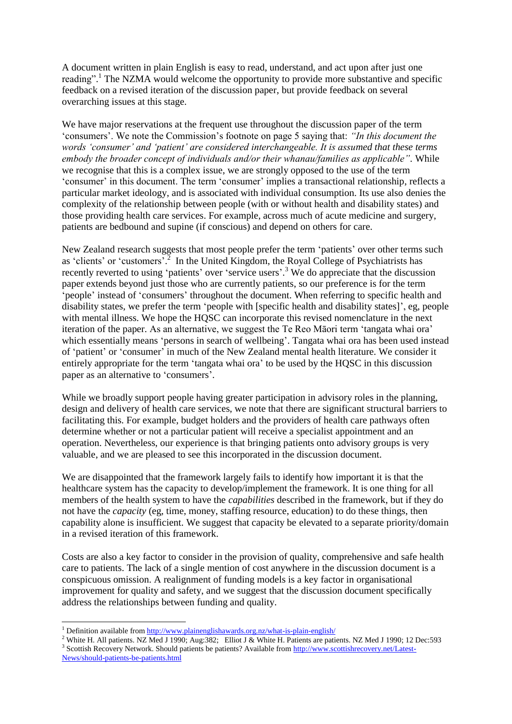A document written in plain English is easy to read, understand, and act upon after just one reading". <sup>1</sup> The NZMA would welcome the opportunity to provide more substantive and specific feedback on a revised iteration of the discussion paper, but provide feedback on several overarching issues at this stage.

We have major reservations at the frequent use throughout the discussion paper of the term 'consumers'. We note the Commission's footnote on page 5 saying that: *"In this document the words 'consumer' and 'patient' are considered interchangeable. It is assumed that these terms embody the broader concept of individuals and/or their whanau/families as applicable".* While we recognise that this is a complex issue, we are strongly opposed to the use of the term 'consumer' in this document. The term 'consumer' implies a transactional relationship, reflects a particular market ideology, and is associated with individual consumption. Its use also denies the complexity of the relationship between people (with or without health and disability states) and those providing health care services. For example, across much of acute medicine and surgery, patients are bedbound and supine (if conscious) and depend on others for care.

New Zealand research suggests that most people prefer the term 'patients' over other terms such as 'clients' or 'customers'.<sup>2</sup> In the United Kingdom, the Royal College of Psychiatrists has recently reverted to using 'patients' over 'service users'.<sup>3</sup> We do appreciate that the discussion paper extends beyond just those who are currently patients, so our preference is for the term 'people' instead of 'consumers' throughout the document. When referring to specific health and disability states, we prefer the term 'people with [specific health and disability states]', eg, people with mental illness. We hope the HQSC can incorporate this revised nomenclature in the next iteration of the paper. As an alternative, we suggest the Te Reo Māori term 'tangata whai ora' which essentially means 'persons in search of wellbeing'. Tangata whai ora has been used instead of 'patient' or 'consumer' in much of the New Zealand mental health literature. We consider it entirely appropriate for the term 'tangata whai ora' to be used by the HQSC in this discussion paper as an alternative to 'consumers'.

While we broadly support people having greater participation in advisory roles in the planning, design and delivery of health care services, we note that there are significant structural barriers to facilitating this. For example, budget holders and the providers of health care pathways often determine whether or not a particular patient will receive a specialist appointment and an operation. Nevertheless, our experience is that bringing patients onto advisory groups is very valuable, and we are pleased to see this incorporated in the discussion document.

We are disappointed that the framework largely fails to identify how important it is that the healthcare system has the capacity to develop/implement the framework. It is one thing for all members of the health system to have the *capabilities* described in the framework, but if they do not have the *capacity* (eg, time, money, staffing resource, education) to do these things, then capability alone is insufficient. We suggest that capacity be elevated to a separate priority/domain in a revised iteration of this framework.

Costs are also a key factor to consider in the provision of quality, comprehensive and safe health care to patients. The lack of a single mention of cost anywhere in the discussion document is a conspicuous omission. A realignment of funding models is a key factor in organisational improvement for quality and safety, and we suggest that the discussion document specifically address the relationships between funding and quality.

**.** 

<sup>&</sup>lt;sup>1</sup> Definition available from<http://www.plainenglishawards.org.nz/what-is-plain-english/>

<sup>&</sup>lt;sup>2</sup> White H. All patients. NZ Med J 1990; Aug:382; Elliot J & White H. Patients are patients. NZ Med J 1990; 12 Dec:593 <sup>3</sup> Scottish Recovery Network. Should patients be patients? Available from [http://www.scottishrecovery.net/Latest-](http://www.scottishrecovery.net/Latest-News/should-patients-be-patients.html)[News/should-patients-be-patients.html](http://www.scottishrecovery.net/Latest-News/should-patients-be-patients.html)